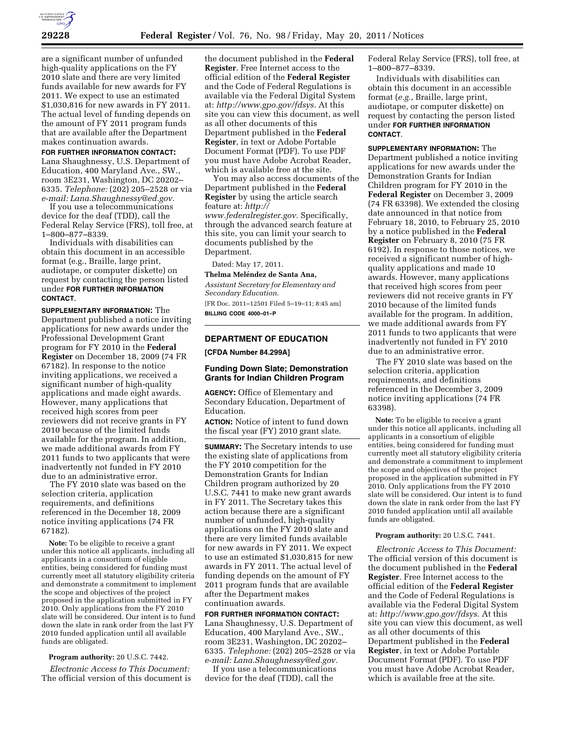

are a significant number of unfunded high-quality applications on the FY 2010 slate and there are very limited funds available for new awards for FY 2011. We expect to use an estimated \$1,030,816 for new awards in FY 2011. The actual level of funding depends on the amount of FY 2011 program funds that are available after the Department makes continuation awards.

# **FOR FURTHER INFORMATION CONTACT:**

Lana Shaughnessy, U.S. Department of Education, 400 Maryland Ave., SW., room 3E231, Washington, DC 20202– 6335. *Telephone:* (202) 205–2528 or via *e-mail: [Lana.Shaughnessy@ed.gov.](mailto:Lana.Shaughnessy@ed.gov)* 

If you use a telecommunications device for the deaf (TDD), call the Federal Relay Service (FRS), toll free, at 1–800–877–8339.

Individuals with disabilities can obtain this document in an accessible format (e.g., Braille, large print, audiotape, or computer diskette) on request by contacting the person listed under **FOR FURTHER INFORMATION CONTACT**.

**SUPPLEMENTARY INFORMATION:** The Department published a notice inviting applications for new awards under the Professional Development Grant program for FY 2010 in the **Federal Register** on December 18, 2009 (74 FR 67182). In response to the notice inviting applications, we received a significant number of high-quality applications and made eight awards. However, many applications that received high scores from peer reviewers did not receive grants in FY 2010 because of the limited funds available for the program. In addition, we made additional awards from FY 2011 funds to two applicants that were inadvertently not funded in FY 2010 due to an administrative error.

The FY 2010 slate was based on the selection criteria, application requirements, and definitions referenced in the December 18, 2009 notice inviting applications (74 FR 67182).

**Note:** To be eligible to receive a grant under this notice all applicants, including all applicants in a consortium of eligible entities, being considered for funding must currently meet all statutory eligibility criteria and demonstrate a commitment to implement the scope and objectives of the project proposed in the application submitted in FY 2010. Only applications from the FY 2010 slate will be considered. Our intent is to fund down the slate in rank order from the last FY 2010 funded application until all available funds are obligated.

### **Program authority:** 20 U.S.C. 7442.

*Electronic Access to This Document:*  The official version of this document is

the document published in the **Federal Register**. Free Internet access to the official edition of the **Federal Register**  and the Code of Federal Regulations is available via the Federal Digital System at: *[http://www.gpo.gov/fdsys.](http://www.gpo.gov/fdsys)* At this site you can view this document, as well as all other documents of this Department published in the **Federal Register**, in text or Adobe Portable Document Format (PDF). To use PDF you must have Adobe Acrobat Reader, which is available free at the site.

You may also access documents of the Department published in the **Federal Register** by using the article search feature at: *[http://](http://www.federalregister.gov)* 

*[www.federalregister.gov.](http://www.federalregister.gov)* Specifically, through the advanced search feature at this site, you can limit your search to documents published by the Department.

Dated: May 17, 2011.

#### **Thelma Meléndez de Santa Ana,**

*Assistant Secretary for Elementary and Secondary Education.* 

[FR Doc. 2011–12501 Filed 5–19–11; 8:45 am] **BILLING CODE 4000–01–P** 

# **DEPARTMENT OF EDUCATION**

**[CFDA Number 84.299A]** 

## **Funding Down Slate; Demonstration Grants for Indian Children Program**

**AGENCY:** Office of Elementary and Secondary Education, Department of Education.

**ACTION:** Notice of intent to fund down the fiscal year (FY) 2010 grant slate.

**SUMMARY:** The Secretary intends to use the existing slate of applications from the FY 2010 competition for the Demonstration Grants for Indian Children program authorized by 20 U.S.C. 7441 to make new grant awards in FY 2011. The Secretary takes this action because there are a significant number of unfunded, high-quality applications on the FY 2010 slate and there are very limited funds available for new awards in FY 2011. We expect to use an estimated \$1,030,815 for new awards in FY 2011. The actual level of funding depends on the amount of FY 2011 program funds that are available after the Department makes continuation awards.

## **FOR FURTHER INFORMATION CONTACT:**

Lana Shaughnessy, U.S. Department of Education, 400 Maryland Ave., SW., room 3E231, Washington, DC 20202– 6335. *Telephone:* (202) 205–2528 or via *e-mail: [Lana.Shaughnessy@ed.gov.](mailto:Lana.Shaughnessy@ed.gov)* 

If you use a telecommunications device for the deaf (TDD), call the

Federal Relay Service (FRS), toll free, at 1–800–877–8339.

Individuals with disabilities can obtain this document in an accessible format (*e.g.*, Braille, large print, audiotape, or computer diskette) on request by contacting the person listed under **FOR FURTHER INFORMATION CONTACT**.

**SUPPLEMENTARY INFORMATION:** The Department published a notice inviting applications for new awards under the Demonstration Grants for Indian Children program for FY 2010 in the **Federal Register** on December 3, 2009 (74 FR 63398). We extended the closing date announced in that notice from February 18, 2010, to February 25, 2010 by a notice published in the **Federal Register** on February 8, 2010 (75 FR 6192). In response to those notices, we received a significant number of highquality applications and made 10 awards. However, many applications that received high scores from peer reviewers did not receive grants in FY 2010 because of the limited funds available for the program. In addition, we made additional awards from FY 2011 funds to two applicants that were inadvertently not funded in FY 2010 due to an administrative error.

The FY 2010 slate was based on the selection criteria, application requirements, and definitions referenced in the December 3, 2009 notice inviting applications (74 FR 63398).

**Note:** To be eligible to receive a grant under this notice all applicants, including all applicants in a consortium of eligible entities, being considered for funding must currently meet all statutory eligibility criteria and demonstrate a commitment to implement the scope and objectives of the project proposed in the application submitted in FY 2010. Only applications from the FY 2010 slate will be considered. Our intent is to fund down the slate in rank order from the last FY 2010 funded application until all available funds are obligated.

#### **Program authority:** 20 U.S.C. 7441.

*Electronic Access to This Document:*  The official version of this document is the document published in the **Federal Register**. Free Internet access to the official edition of the **Federal Register**  and the Code of Federal Regulations is available via the Federal Digital System at: *<http://www.gpo.gov/fdsys>*. At this site you can view this document, as well as all other documents of this Department published in the **Federal Register**, in text or Adobe Portable Document Format (PDF). To use PDF you must have Adobe Acrobat Reader, which is available free at the site.